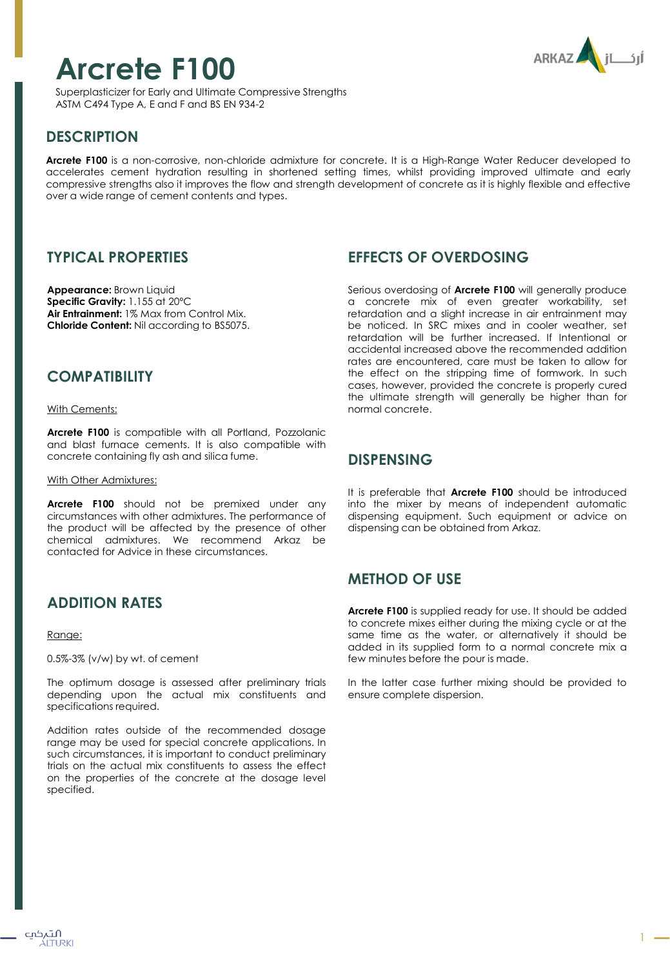

# **Arcrete F100**

Superplasticizer for Early and Ultimate Compressive Strengths ASTM C494 Type A, E and F and BS EN 934-2

# **DESCRIPTION**

**Arcrete F100** is a non-corrosive, non-chloride admixture for concrete. It is a High-Range Water Reducer developed to accelerates cement hydration resulting in shortened setting times, whilst providing improved ultimate and early compressive strengths also it improves the flow and strength development of concrete as it is highly flexible and effective over a wide range of cement contents and types.

## **TYPICAL PROPERTIES**

**Appearance:** Brown Liquid **Specific Gravity:** 1.155 at 20ºC **Air Entrainment:** 1% Max from Control Mix. **Chloride Content:** Nil according to BS5075.

## **COMPATIBILITY**

With Cements:

**Arcrete F100** is compatible with all Portland, Pozzolanic and blast furnace cements. It is also compatible with concrete containing fly ash and silica fume.

With Other Admixtures:

**Arcrete F100** should not be premixed under any circumstances with other admixtures. The performance of the product will be affected by the presence of other chemical admixtures. We recommend Arkaz be contacted for Advice in these circumstances.

# **ADDITION RATES**

Range:

0.5%-3% (v/w) by wt. of cement

The optimum dosage is assessed after preliminary trials depending upon the actual mix constituents and specifications required.

Addition rates outside of the recommended dosage range may be used for special concrete applications. In such circumstances, it is important to conduct preliminary trials on the actual mix constituents to assess the effect on the properties of the concrete at the dosage level specified.

## **EFFECTS OF OVERDOSING**

Serious overdosing of **Arcrete F100** will generally produce a concrete mix of even greater workability, set retardation and a slight increase in air entrainment may be noticed. In SRC mixes and in cooler weather, set retardation will be further increased. If Intentional or accidental increased above the recommended addition rates are encountered, care must be taken to allow for the effect on the stripping time of formwork. In such cases, however, provided the concrete is properly cured the ultimate strength will generally be higher than for normal concrete.

## **DISPENSING**

It is preferable that **Arcrete F100** should be introduced into the mixer by means of independent automatic dispensing equipment. Such equipment or advice on dispensing can be obtained from Arkaz.

# **METHOD OF USE**

**Arcrete F100** is supplied ready for use. It should be added to concrete mixes either during the mixing cycle or at the same time as the water, or alternatively it should be added in its supplied form to a normal concrete mix a few minutes before the pour is made.

In the latter case further mixing should be provided to ensure complete dispersion.